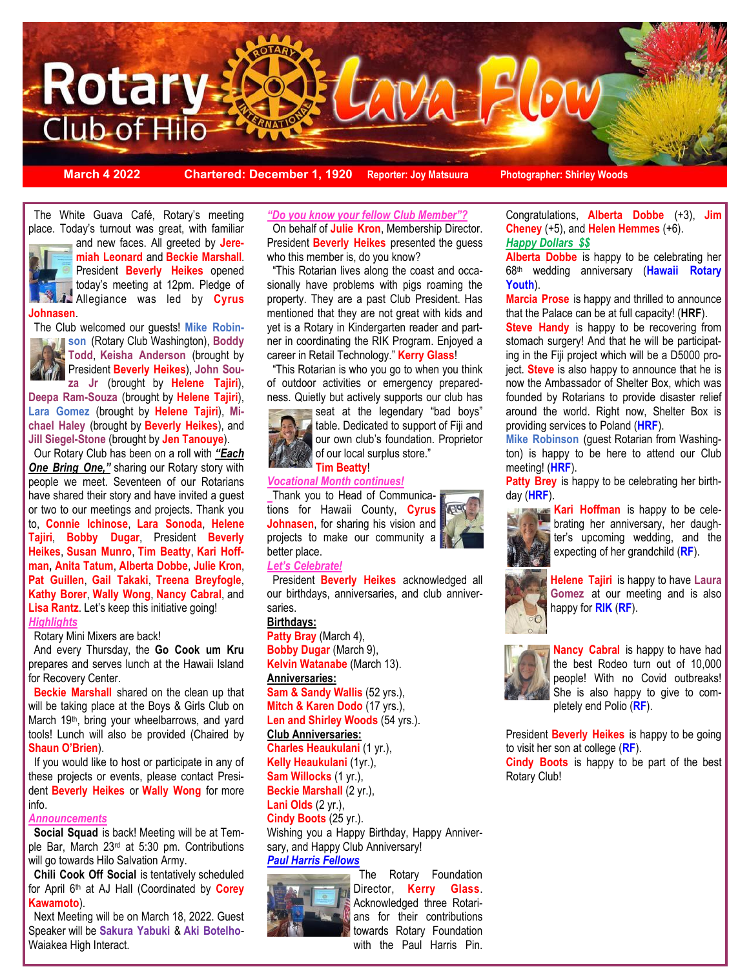

**March 4 2022 Chartered: December 1, 1920 Reporter: Joy Matsuura Photographer: Shirley Woods**

 The White Guava Café, Rotary's meeting place. Today's turnout was great, with familiar



 President **Beverly Heikes** opened and new faces. All greeted by **Jeremiah Leonard** and **Beckie Marshall**. today's meeting at 12pm. Pledge of Allegiance was led by **Cyrus** 



The Club welcomed our guests! **Mike Robin-**



**son** (Rotary Club Washington), **Boddy Todd**, **Keisha Anderson** (brought by President **Beverly Heikes**), **John Souza Jr** (brought by **Helene Tajiri**),

**Deepa Ram-Souza** (brought by **Helene Tajiri**), **Lara Gomez** (brought by **Helene Tajiri**), **Michael Haley** (brought by **Beverly Heikes**), and **Jill Siegel-Stone** (brought by **Jen Tanouye**).

 Our Rotary Club has been on a roll with *"Each One Bring One,"* sharing our Rotary story with people we meet. Seventeen of our Rotarians have shared their story and have invited a guest or two to our meetings and projects. Thank you to, **Connie Ichinose**, **Lara Sonoda**, **Helene Tajiri**, **Bobby Dugar**, President **Beverly Heikes**, **Susan Munro**, **Tim Beatty**, **Kari Hoffman, Anita Tatum**, **Alberta Dobbe**, **Julie Kron**, **Pat Guillen**, **Gail Takaki**, **Treena Breyfogle**, **Kathy Borer**, **Wally Wong**, **Nancy Cabral**, and **Lisa Rantz**. Let's keep this initiative going! *Highlights*

Rotary Mini Mixers are back!

 And every Thursday, the **Go Cook um Kru**  prepares and serves lunch at the Hawaii Island for Recovery Center.

 **Beckie Marshall** shared on the clean up that will be taking place at the Boys & Girls Club on March 19th, bring your wheelbarrows, and yard tools! Lunch will also be provided (Chaired by **Shaun O'Brien**).

 If you would like to host or participate in any of these projects or events, please contact President **Beverly Heikes** or **Wally Wong** for more info.

### *Announcements*

 **Social Squad** is back! Meeting will be at Temple Bar, March 23rd at 5:30 pm. Contributions will go towards Hilo Salvation Army.

**Chili Cook Off Social is tentatively scheduled** for April 6th at AJ Hall (Coordinated by **Corey Kawamoto**).

 Next Meeting will be on March 18, 2022. Guest Speaker will be **Sakura Yabuki** & **Aki Botelho**-Waiakea High Interact.

*"Do you know your fellow Club Member"?*

 On behalf of **Julie Kron**, Membership Director. President **Beverly Heikes** presented the guess who this member is, do you know?

 "This Rotarian lives along the coast and occasionally have problems with pigs roaming the property. They are a past Club President. Has mentioned that they are not great with kids and yet is a Rotary in Kindergarten reader and partner in coordinating the RIK Program. Enjoyed a career in Retail Technology." **Kerry Glass**!

 "This Rotarian is who you go to when you think of outdoor activities or emergency preparedness. Quietly but actively supports our club has



seat at the legendary "bad boys" table. Dedicated to support of Fiji and our own club's foundation. Proprietor of our local surplus store."

**Tim Beatty**! *Vocational Month continues!* 

Thank you to Head of Communications for Hawaii County, **Cyrus Johnasen**, for sharing his vision and projects to make our community a better place.

*Let's Celebrate!* 

 President **Beverly Heikes** acknowledged all our birthdays, anniversaries, and club anniversaries.

#### **Birthdays:**

**Patty Bray** (March 4), **Bobby Dugar** (March 9), **Kelvin Watanabe** (March 13).

## **Anniversaries:**

**Sam & Sandy Wallis** (52 yrs.), **Mitch & Karen Dodo** (17 yrs.),

**Len and Shirley Woods** (54 yrs.).

# **Club Anniversaries:**

**Charles Heaukulani** (1 yr.),

**Kelly Heaukulani** (1yr.),

**Sam Willocks** (1 yr.),

**Beckie Marshall** (2 yr.),

**Lani Olds** (2 yr.),

**Cindy Boots** (25 yr.).

Wishing you a Happy Birthday, Happy Anniversary, and Happy Club Anniversary! *Paul Harris Fellows* 



 The Rotary Foundation Director, **Kerry Glass**. Acknowledged three Rotarians for their contributions towards Rotary Foundation with the Paul Harris Pin.

Congratulations, **Alberta Dobbe** (+3), **Jim Cheney** (+5), and **Helen Hemmes** (+6).

*Happy Dollars \$\$*

**Alberta Dobbe** is happy to be celebrating her 68th wedding anniversary (**Hawaii Rotary Youth**).

**Marcia Prose** is happy and thrilled to announce that the Palace can be at full capacity! (**HRF**).

**Steve Handy** is happy to be recovering from stomach surgery! And that he will be participating in the Fiji project which will be a D5000 project. **Steve** is also happy to announce that he is now the Ambassador of Shelter Box, which was founded by Rotarians to provide disaster relief around the world. Right now, Shelter Box is providing services to Poland (**HRF**).

**Mike Robinson** (guest Rotarian from Washington) is happy to be here to attend our Club meeting! (**HRF**).

**Patty Brey** is happy to be celebrating her birthday (**HRF**).



**Kari Hoffman** is happy to be celebrating her anniversary, her daughter's upcoming wedding, and the expecting of her grandchild (**RF**).



**Helene Tajiri** is happy to have **Laura Gomez** at our meeting and is also happy for **RIK** (**RF**).



**Nancy Cabral** is happy to have had the best Rodeo turn out of 10,000 people! With no Covid outbreaks! She is also happy to give to completely end Polio (**RF**).

President **Beverly Heikes** is happy to be going to visit her son at college (**RF**).

**Cindy Boots** is happy to be part of the best Rotary Club!